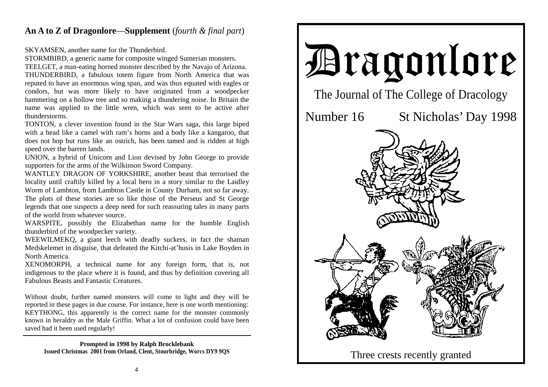## **An A to Z of Dragonlore**—**Supplement** (*fourth & final part*)

SKYAMSEN, another name for the Thunderbird.

STORMBIRD, a generic name for composite winged Sumerian monsters.

TEELGET, a man-eating horned monster described by the Navajo of Arizona. THUNDERBIRD, a fabulous totem figure from North America that was reputed to have an enormous wing span, and was thus equated with eagles or condors, but was more likely to have originated from a woodpecker hammering on a hollow tree and so making a thundering noise. In Britain the name was applied to the little wren, which was seen to be active after thunderstorms.

TONTON, a clever invention found in the Star Wars saga, this large biped with a head like a camel with ram's horns and a body like a kangaroo, that does not hop but runs like an ostrich, has been tamed and is ridden at high speed over the barren lands.

UNION, a hybrid of Unicorn and Lion devised by John George to provide supporters for the arms of the Wilkinson Sword Company.

WANTLEY DRAGON OF YORKSHIRE, another beast that terrorised the locality until craftily killed by a local hero in a story similar to the Laidley Worm of Lambton, from Lambton Castle in County Durham, not so far away. The plots of these stories are so like those of the Perseus and St George legends that one suspects a deep need for such reassuring tales in many parts of the world from whatever source.

WARSPITE, possibly the Elizabethan name for the humble English thunderbird of the woodpecker variety.

WEEWILMEKQ, a giant leech with deadly suckers, in fact the shaman Medskelemet in disguise, that defeated the Kitchi-at'husis in Lake Boyden in North America.

XENOMORPH, a technical name for any foreign form, that is, not indigenous to the place where it is found, and thus by definition covering all Fabulous Beasts and Fantastic Creatures.

Without doubt, further named monsters will come to light and they will be reported in these pages in due course. For instance, here is one worth mentioning: KEYTHONG, this apparently is the correct name for the monster commonly known in heraldry as the Male Griffin. What a lot of confusion could have been saved had it been used regularly!

**Prompted in 1998 by Ralph Brocklebank**